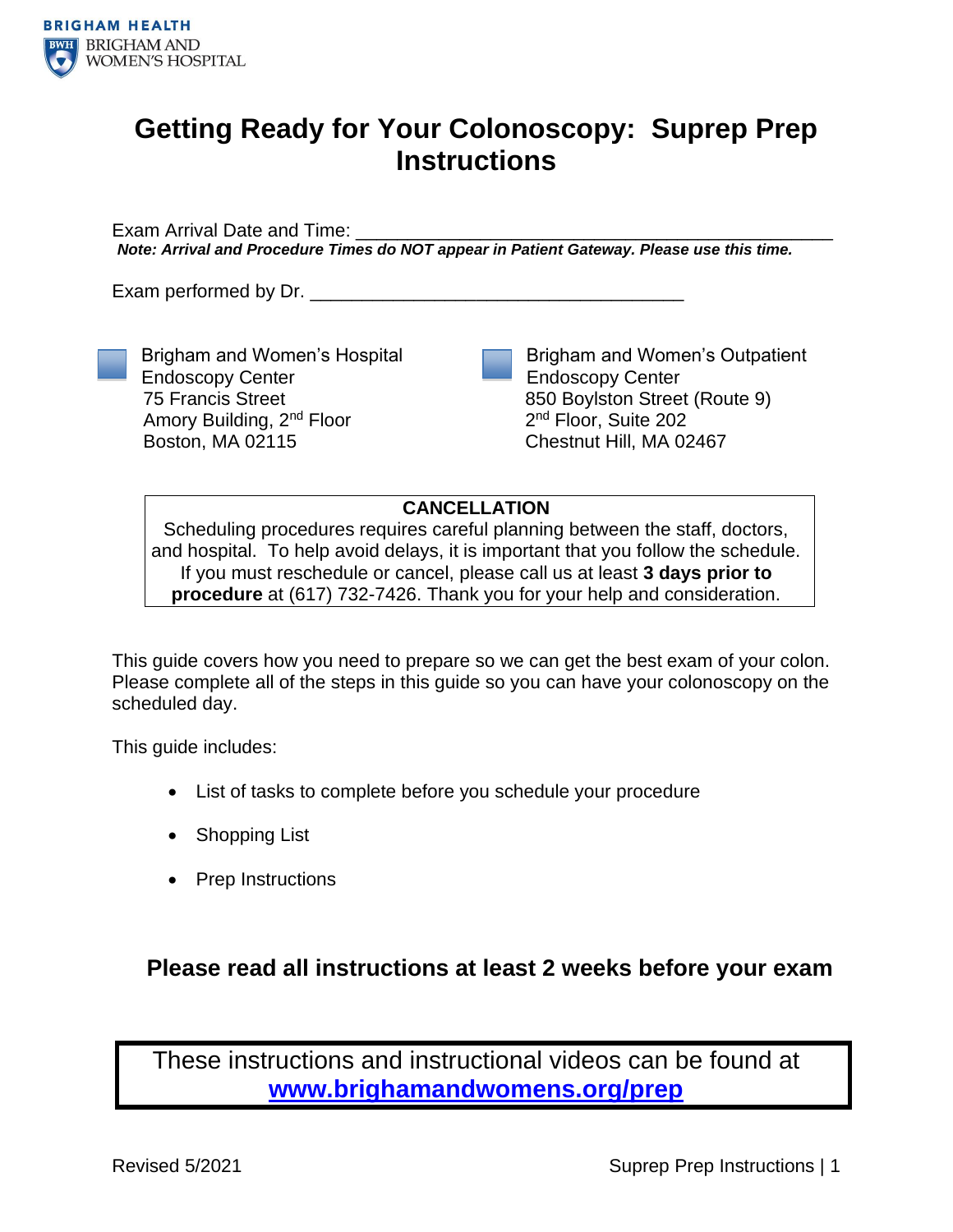

## **Getting Ready for Your Colonoscopy: Suprep Prep Instructions**

Exam Arrival Date and Time: *Note: Arrival and Procedure Times do NOT appear in Patient Gateway. Please use this time.*

Exam performed by Dr.

Endoscopy Center 75 Francis Street

Boston, MA 02115

Brigham and Women's Hospital

Amory Building, 2nd Floor

Brigham and Women's Outpatient Endoscopy Center 850 Boylston Street (Route 9) 2<sup>nd</sup> Floor, Suite 202 Chestnut Hill, MA 02467

**CANCELLATION**

Scheduling procedures requires careful planning between the staff, doctors, and hospital. To help avoid delays, it is important that you follow the schedule. If you must reschedule or cancel, please call us at least **3 days prior to procedure** at (617) 732-7426. Thank you for your help and consideration.

This guide covers how you need to prepare so we can get the best exam of your colon. Please complete all of the steps in this guide so you can have your colonoscopy on the scheduled day.

This guide includes:

- List of tasks to complete before you schedule your procedure
- Shopping List
- Prep Instructions

### **Please read all instructions at least 2 weeks before your exam**

These instructions and instructional videos can be found at **[www.brighamandwomens.org/prep](http://www.brighamandwomens.org/prep)**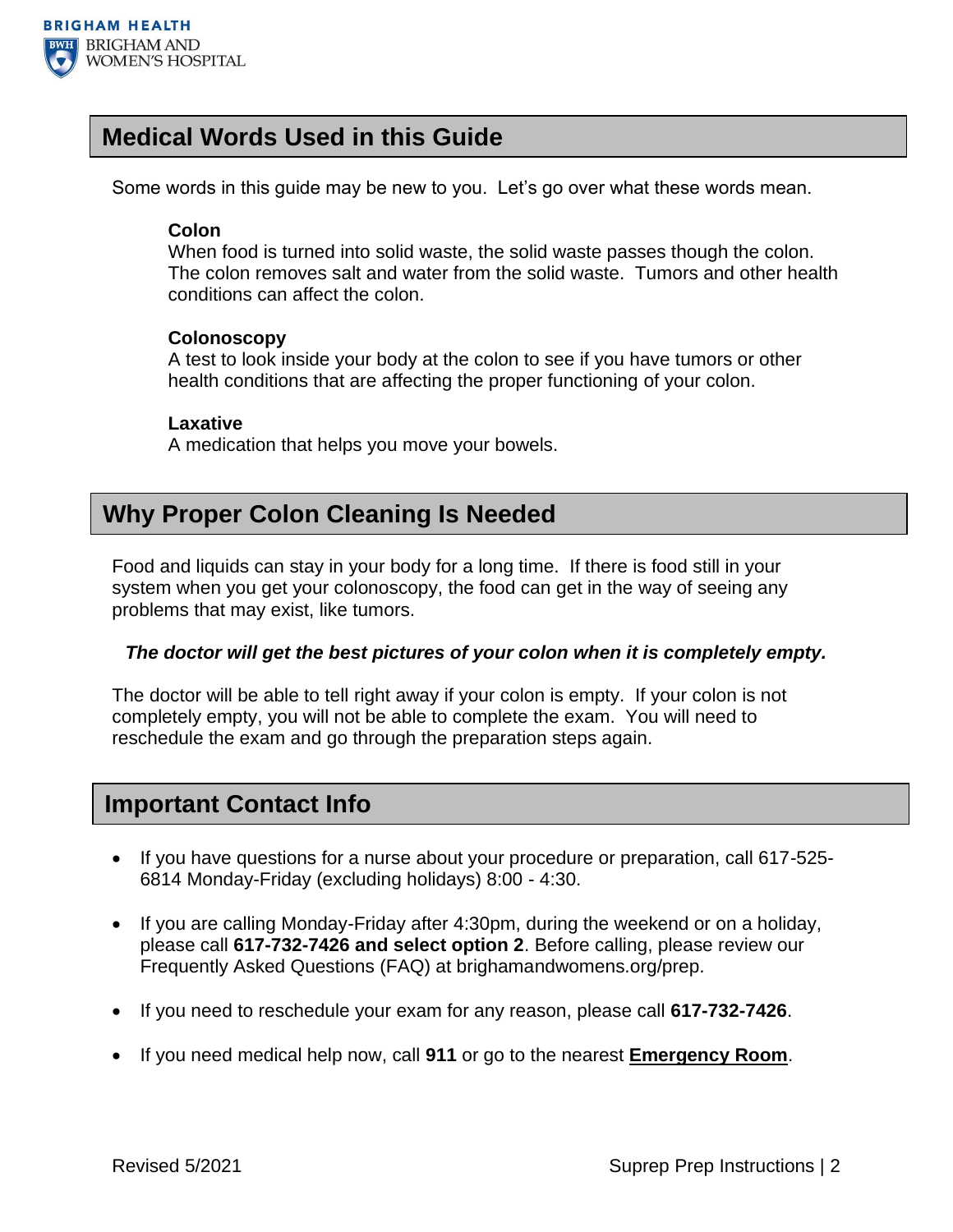

### **Medical Words Used in this Guide**

Some words in this guide may be new to you. Let's go over what these words mean.

#### **Colon**

When food is turned into solid waste, the solid waste passes though the colon. The colon removes salt and water from the solid waste. Tumors and other health conditions can affect the colon.

#### **Colonoscopy**

A test to look inside your body at the colon to see if you have tumors or other health conditions that are affecting the proper functioning of your colon.

#### **Laxative**

A medication that helps you move your bowels.

### **Why Proper Colon Cleaning Is Needed**

Food and liquids can stay in your body for a long time. If there is food still in your system when you get your colonoscopy, the food can get in the way of seeing any problems that may exist, like tumors.

#### *The doctor will get the best pictures of your colon when it is completely empty.*

The doctor will be able to tell right away if your colon is empty. If your colon is not completely empty, you will not be able to complete the exam. You will need to reschedule the exam and go through the preparation steps again.

### **Important Contact Info**

- If you have questions for a nurse about your procedure or preparation, call 617-525- 6814 Monday-Friday (excluding holidays) 8:00 - 4:30.
- If you are calling Monday-Friday after 4:30pm, during the weekend or on a holiday, please call **617-732-7426 and select option 2**. Before calling, please review our Frequently Asked Questions (FAQ) at brighamandwomens.org/prep.
- If you need to reschedule your exam for any reason, please call **617-732-7426**.
- If you need medical help now, call **911** or go to the nearest **Emergency Room**.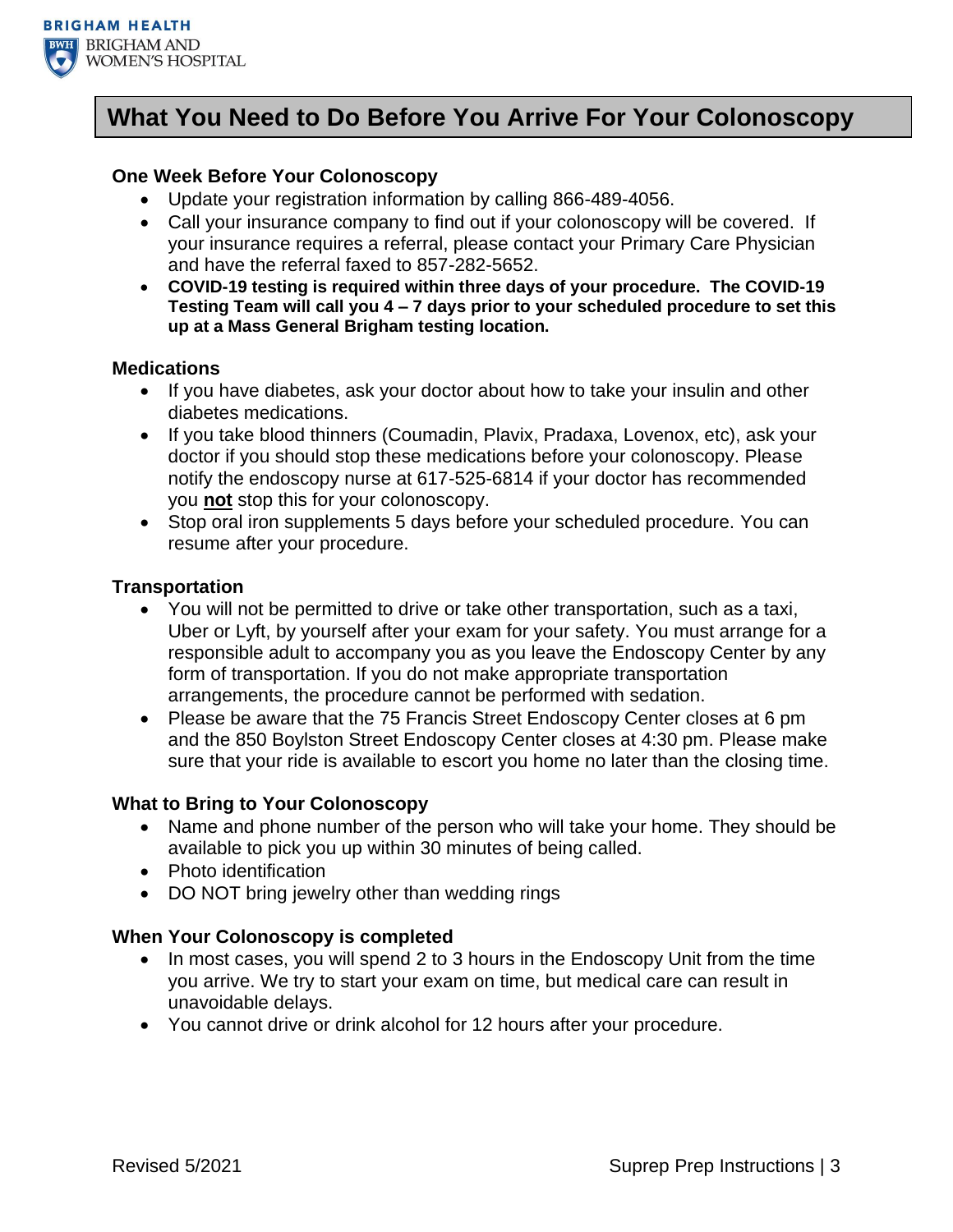

### **What You Need to Do Before You Arrive For Your Colonoscopy**

#### **One Week Before Your Colonoscopy**

- Update your registration information by calling 866-489-4056.
- Call your insurance company to find out if your colonoscopy will be covered. If your insurance requires a referral, please contact your Primary Care Physician and have the referral faxed to 857-282-5652.
- **COVID-19 testing is required within three days of your procedure. The COVID-19 Testing Team will call you 4 – 7 days prior to your scheduled procedure to set this up at a Mass General Brigham testing location.**

#### **Medications**

- If you have diabetes, ask your doctor about how to take your insulin and other diabetes medications.
- If you take blood thinners (Coumadin, Plavix, Pradaxa, Lovenox, etc), ask your doctor if you should stop these medications before your colonoscopy. Please notify the endoscopy nurse at 617-525-6814 if your doctor has recommended you **not** stop this for your colonoscopy.
- Stop oral iron supplements 5 days before your scheduled procedure. You can resume after your procedure.

#### **Transportation**

- You will not be permitted to drive or take other transportation, such as a taxi, Uber or Lyft, by yourself after your exam for your safety. You must arrange for a responsible adult to accompany you as you leave the Endoscopy Center by any form of transportation. If you do not make appropriate transportation arrangements, the procedure cannot be performed with sedation.
- Please be aware that the 75 Francis Street Endoscopy Center closes at 6 pm and the 850 Boylston Street Endoscopy Center closes at 4:30 pm. Please make sure that your ride is available to escort you home no later than the closing time.

#### **What to Bring to Your Colonoscopy**

- Name and phone number of the person who will take your home. They should be available to pick you up within 30 minutes of being called.
- Photo identification
- DO NOT bring jewelry other than wedding rings

#### **When Your Colonoscopy is completed**

- In most cases, you will spend 2 to 3 hours in the Endoscopy Unit from the time you arrive. We try to start your exam on time, but medical care can result in unavoidable delays.
- You cannot drive or drink alcohol for 12 hours after your procedure.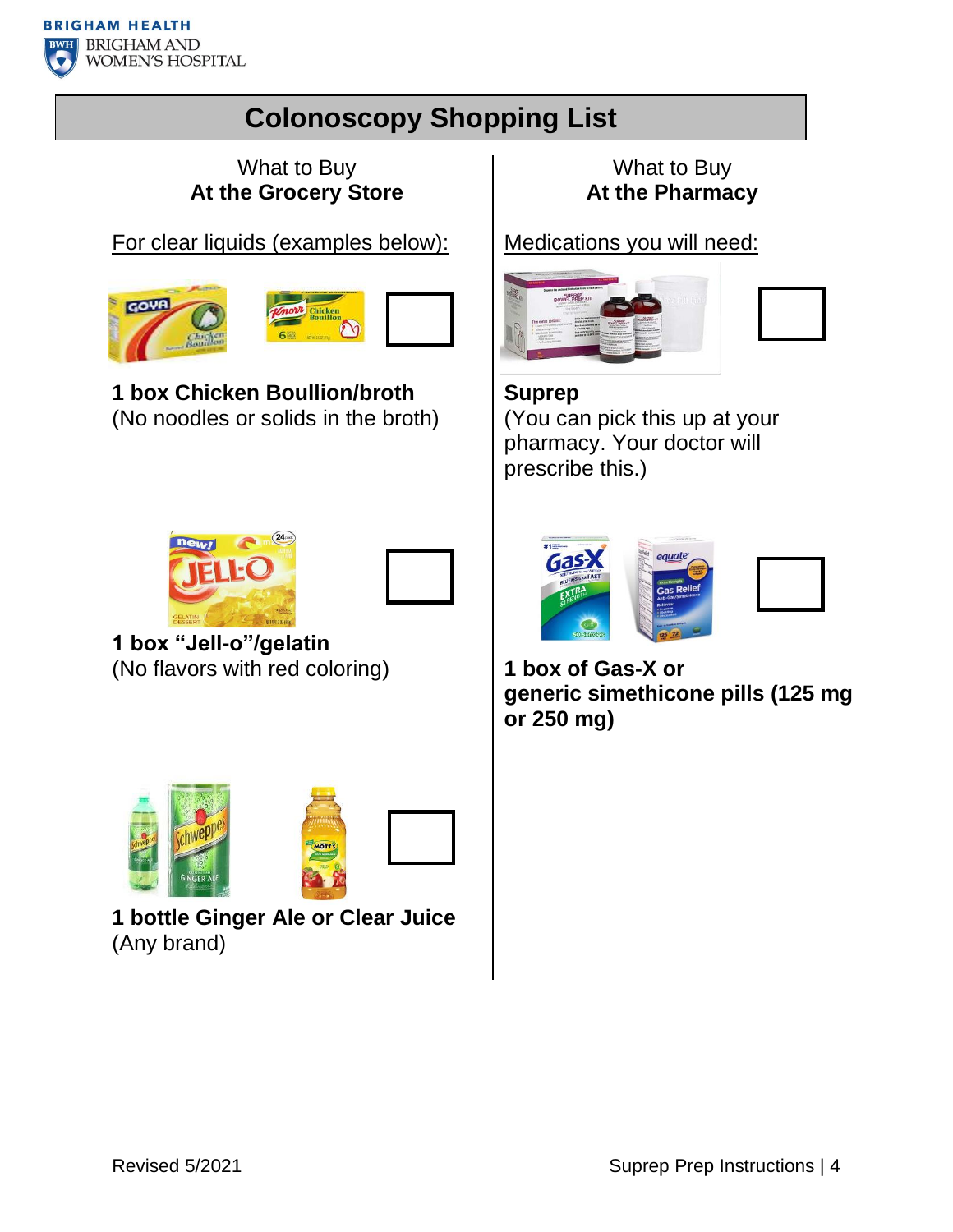

# **Colonoscopy Shopping List**

### What to Buy **At the Grocery Store**

For clear liquids (examples below):





**1 box Chicken Boullion/broth** (No noodles or solids in the broth)





**1 box "Jell-o"/gelatin** (No flavors with red coloring)



**1 bottle Ginger Ale or Clear Juice**  (Any brand)

## What to Buy **At the Pharmacy**

Medications you will need:



**Suprep** (You can pick this up at your pharmacy. Your doctor will prescribe this.)



**1 box of Gas-X or generic simethicone pills (125 mg or 250 mg)**